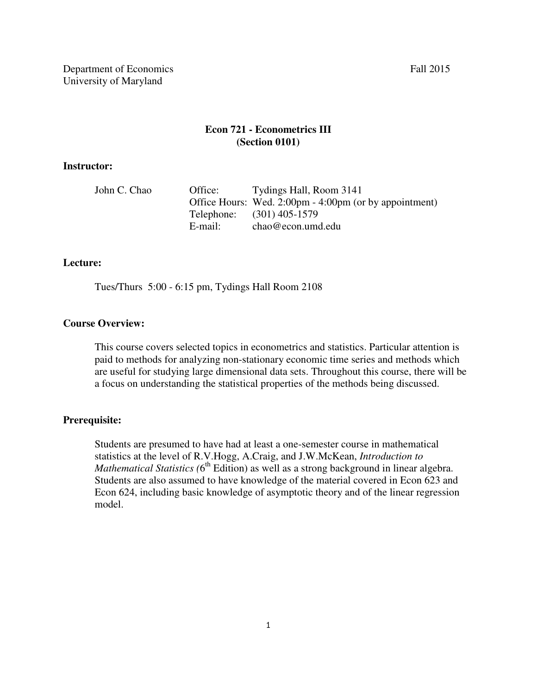# **Econ 721 - Econometrics III (Section 0101)**

#### **Instructor:**

| John C. Chao | Office: | Tydings Hall, Room 3141                                |
|--------------|---------|--------------------------------------------------------|
|              |         | Office Hours: Wed. 2:00pm - 4:00pm (or by appointment) |
|              |         | Telephone: (301) 405-1579                              |
|              | E-mail: | $chao@econ.$ umd.edu                                   |

#### **Lecture:**

Tues/Thurs 5:00 - 6:15 pm, Tydings Hall Room 2108

### **Course Overview:**

This course covers selected topics in econometrics and statistics. Particular attention is paid to methods for analyzing non-stationary economic time series and methods which are useful for studying large dimensional data sets. Throughout this course, there will be a focus on understanding the statistical properties of the methods being discussed.

### **Prerequisite:**

Students are presumed to have had at least a one-semester course in mathematical statistics at the level of R.V.Hogg, A.Craig, and J.W.McKean, *Introduction to Mathematical Statistics* (6<sup>th</sup> Edition) as well as a strong background in linear algebra. Students are also assumed to have knowledge of the material covered in Econ 623 and Econ 624, including basic knowledge of asymptotic theory and of the linear regression model.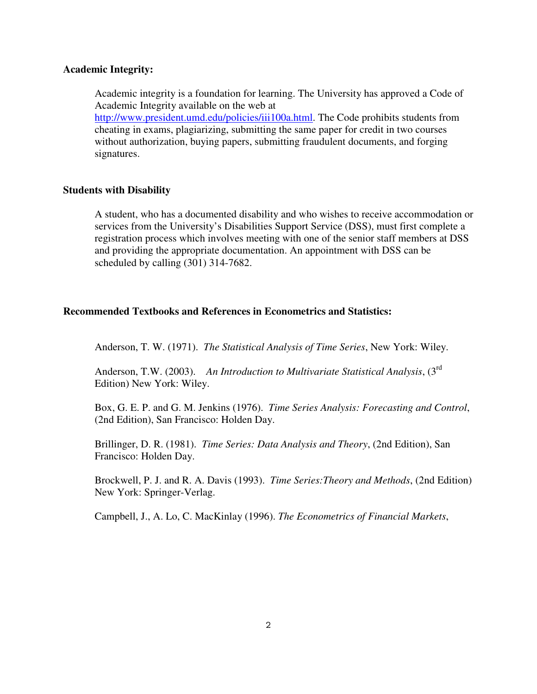#### **Academic Integrity:**

Academic integrity is a foundation for learning. The University has approved a Code of Academic Integrity available on the web at http://www.president.umd.edu/policies/iii100a.html. The Code prohibits students from cheating in exams, plagiarizing, submitting the same paper for credit in two courses without authorization, buying papers, submitting fraudulent documents, and forging signatures.

#### **Students with Disability**

A student, who has a documented disability and who wishes to receive accommodation or services from the University's Disabilities Support Service (DSS), must first complete a registration process which involves meeting with one of the senior staff members at DSS and providing the appropriate documentation. An appointment with DSS can be scheduled by calling (301) 314-7682.

#### **Recommended Textbooks and References in Econometrics and Statistics:**

Anderson, T. W. (1971). *The Statistical Analysis of Time Series*, New York: Wiley.

Anderson, T.W. (2003). *An Introduction to Multivariate Statistical Analysis*, (3rd Edition) New York: Wiley.

Box, G. E. P. and G. M. Jenkins (1976). *Time Series Analysis: Forecasting and Control*, (2nd Edition), San Francisco: Holden Day.

Brillinger, D. R. (1981). *Time Series: Data Analysis and Theory*, (2nd Edition), San Francisco: Holden Day.

Brockwell, P. J. and R. A. Davis (1993). *Time Series:Theory and Methods*, (2nd Edition) New York: Springer-Verlag.

Campbell, J., A. Lo, C. MacKinlay (1996). *The Econometrics of Financial Markets*,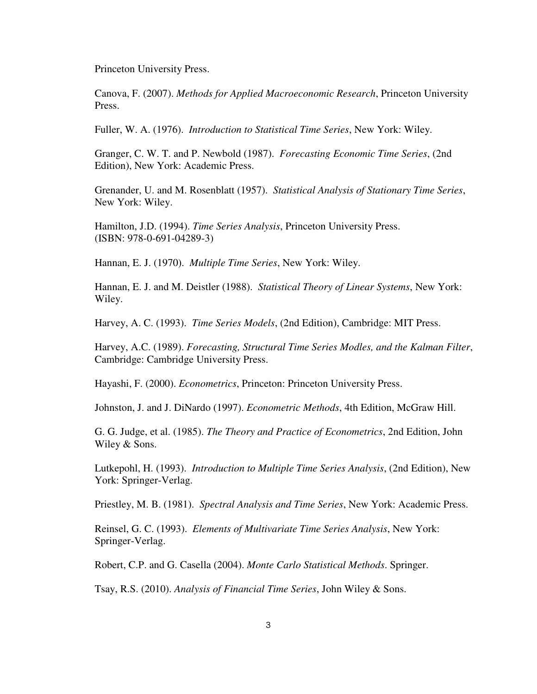Princeton University Press.

Canova, F. (2007). *Methods for Applied Macroeconomic Research*, Princeton University Press.

Fuller, W. A. (1976). *Introduction to Statistical Time Series*, New York: Wiley.

Granger, C. W. T. and P. Newbold (1987). *Forecasting Economic Time Series*, (2nd Edition), New York: Academic Press.

Grenander, U. and M. Rosenblatt (1957). *Statistical Analysis of Stationary Time Series*, New York: Wiley.

Hamilton, J.D. (1994). *Time Series Analysis*, Princeton University Press. (ISBN: 978-0-691-04289-3)

Hannan, E. J. (1970). *Multiple Time Series*, New York: Wiley.

Hannan, E. J. and M. Deistler (1988). *Statistical Theory of Linear Systems*, New York: Wiley.

Harvey, A. C. (1993). *Time Series Models*, (2nd Edition), Cambridge: MIT Press.

Harvey, A.C. (1989). *Forecasting, Structural Time Series Modles, and the Kalman Filter*, Cambridge: Cambridge University Press.

Hayashi, F. (2000). *Econometrics*, Princeton: Princeton University Press.

Johnston, J. and J. DiNardo (1997). *Econometric Methods*, 4th Edition, McGraw Hill.

G. G. Judge, et al. (1985). *The Theory and Practice of Econometrics*, 2nd Edition, John Wiley & Sons.

Lutkepohl, H. (1993). *Introduction to Multiple Time Series Analysis*, (2nd Edition), New York: Springer-Verlag.

Priestley, M. B. (1981). *Spectral Analysis and Time Series*, New York: Academic Press.

Reinsel, G. C. (1993). *Elements of Multivariate Time Series Analysis*, New York: Springer-Verlag.

Robert, C.P. and G. Casella (2004). *Monte Carlo Statistical Methods*. Springer.

Tsay, R.S. (2010). *Analysis of Financial Time Series*, John Wiley & Sons.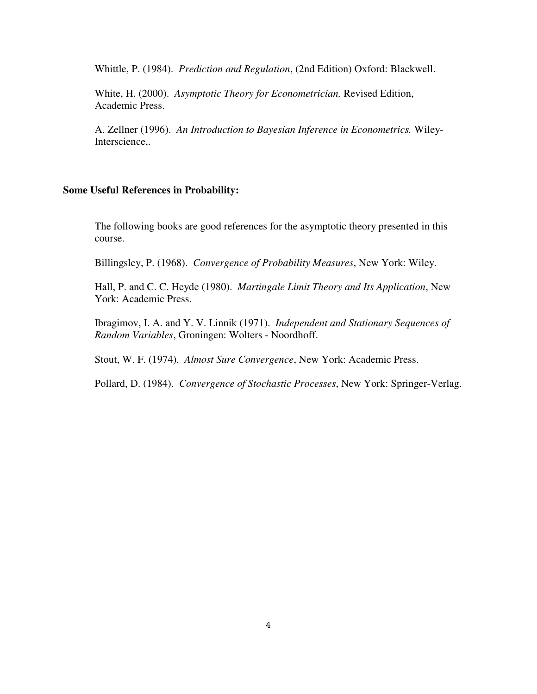Whittle, P. (1984). *Prediction and Regulation*, (2nd Edition) Oxford: Blackwell.

White, H. (2000). *Asymptotic Theory for Econometrician,* Revised Edition, Academic Press.

A. Zellner (1996). *An Introduction to Bayesian Inference in Econometrics.* Wiley-Interscience,.

#### **Some Useful References in Probability:**

The following books are good references for the asymptotic theory presented in this course.

Billingsley, P. (1968). *Convergence of Probability Measures*, New York: Wiley.

Hall, P. and C. C. Heyde (1980). *Martingale Limit Theory and Its Application*, New York: Academic Press.

Ibragimov, I. A. and Y. V. Linnik (1971). *Independent and Stationary Sequences of Random Variables*, Groningen: Wolters - Noordhoff.

Stout, W. F. (1974). *Almost Sure Convergence*, New York: Academic Press.

Pollard, D. (1984). *Convergence of Stochastic Processes*, New York: Springer-Verlag.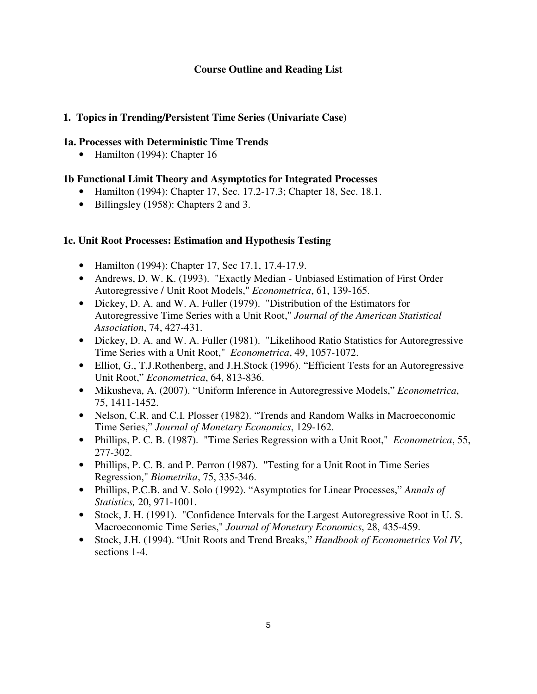## **Course Outline and Reading List**

## **1. Topics in Trending/Persistent Time Series (Univariate Case)**

### **1a. Processes with Deterministic Time Trends**

• Hamilton (1994): Chapter 16

# **1b Functional Limit Theory and Asymptotics for Integrated Processes**

- Hamilton (1994): Chapter 17, Sec. 17.2-17.3; Chapter 18, Sec. 18.1.
- Billingsley (1958): Chapters 2 and 3.

## **1c. Unit Root Processes: Estimation and Hypothesis Testing**

- Hamilton (1994): Chapter 17, Sec 17.1, 17.4-17.9.
- Andrews, D. W. K. (1993). "Exactly Median Unbiased Estimation of First Order Autoregressive / Unit Root Models," *Econometrica*, 61, 139-165.
- Dickey, D. A. and W. A. Fuller (1979). "Distribution of the Estimators for Autoregressive Time Series with a Unit Root," *Journal of the American Statistical Association*, 74, 427-431.
- Dickey, D. A. and W. A. Fuller (1981). "Likelihood Ratio Statistics for Autoregressive Time Series with a Unit Root," *Econometrica*, 49, 1057-1072.
- Elliot, G., T.J.Rothenberg, and J.H.Stock (1996). "Efficient Tests for an Autoregressive Unit Root," *Econometrica*, 64, 813-836.
- Mikusheva, A. (2007). "Uniform Inference in Autoregressive Models," *Econometrica*, 75, 1411-1452.
- Nelson, C.R. and C.I. Plosser (1982). "Trends and Random Walks in Macroeconomic Time Series," *Journal of Monetary Economics*, 129-162.
- Phillips, P. C. B. (1987). "Time Series Regression with a Unit Root," *Econometrica*, 55, 277-302.
- Phillips, P. C. B. and P. Perron (1987). "Testing for a Unit Root in Time Series Regression," *Biometrika*, 75, 335-346.
- Phillips, P.C.B. and V. Solo (1992). "Asymptotics for Linear Processes," *Annals of Statistics,* 20, 971-1001.
- Stock, J. H. (1991). "Confidence Intervals for the Largest Autoregressive Root in U. S. Macroeconomic Time Series," *Journal of Monetary Economics*, 28, 435-459.
- Stock, J.H. (1994). "Unit Roots and Trend Breaks," *Handbook of Econometrics Vol IV*, sections 1-4.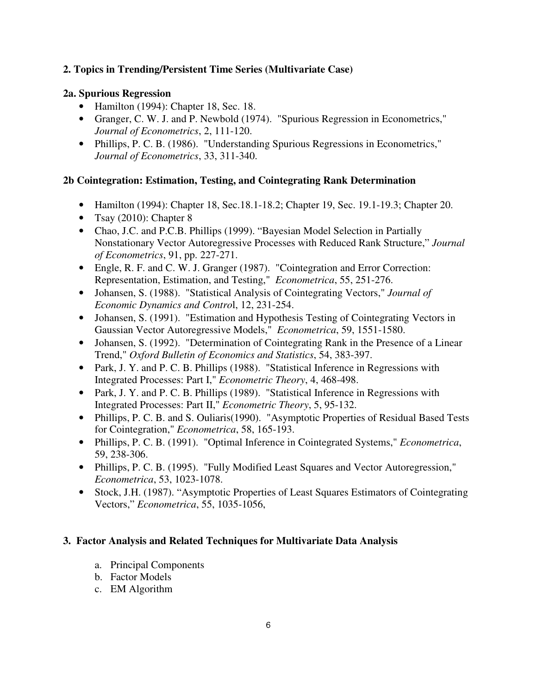# **2. Topics in Trending/Persistent Time Series (Multivariate Case)**

## **2a. Spurious Regression**

- Hamilton (1994): Chapter 18, Sec. 18.
- Granger, C. W. J. and P. Newbold (1974). "Spurious Regression in Econometrics," *Journal of Econometrics*, 2, 111-120.
- Phillips, P. C. B. (1986). "Understanding Spurious Regressions in Econometrics," *Journal of Econometrics*, 33, 311-340.

# **2b Cointegration: Estimation, Testing, and Cointegrating Rank Determination**

- Hamilton (1994): Chapter 18, Sec. 18. 1-18. 2; Chapter 19, Sec. 19. 1-19. 3; Chapter 20.
- Tsay  $(2010)$ : Chapter 8
- Chao, J.C. and P.C.B. Phillips (1999). "Bayesian Model Selection in Partially Nonstationary Vector Autoregressive Processes with Reduced Rank Structure," *Journal of Econometrics*, 91, pp. 227-271.
- Engle, R. F. and C. W. J. Granger (1987). "Cointegration and Error Correction: Representation, Estimation, and Testing," *Econometrica*, 55, 251-276.
- Johansen, S. (1988). "Statistical Analysis of Cointegrating Vectors," *Journal of Economic Dynamics and Contro*l, 12, 231-254.
- Johansen, S. (1991). "Estimation and Hypothesis Testing of Cointegrating Vectors in Gaussian Vector Autoregressive Models," *Econometrica*, 59, 1551-1580.
- Johansen, S. (1992). "Determination of Cointegrating Rank in the Presence of a Linear Trend," *Oxford Bulletin of Economics and Statistics*, 54, 383-397.
- Park, J. Y. and P. C. B. Phillips (1988). "Statistical Inference in Regressions with Integrated Processes: Part I," *Econometric Theory*, 4, 468-498.
- Park, J. Y. and P. C. B. Phillips (1989). "Statistical Inference in Regressions with Integrated Processes: Part II," *Econometric Theory*, 5, 95-132.
- Phillips, P. C. B. and S. Ouliaris(1990). "Asymptotic Properties of Residual Based Tests for Cointegration," *Econometrica*, 58, 165-193.
- Phillips, P. C. B. (1991). "Optimal Inference in Cointegrated Systems," *Econometrica*, 59, 238-306.
- Phillips, P. C. B. (1995). "Fully Modified Least Squares and Vector Autoregression," *Econometrica*, 53, 1023-1078.
- Stock, J.H. (1987). "Asymptotic Properties of Least Squares Estimators of Cointegrating Vectors," *Econometrica*, 55, 1035-1056,

## **3. Factor Analysis and Related Techniques for Multivariate Data Analysis**

- a. Principal Components
- b. Factor Models
- c. EM Algorithm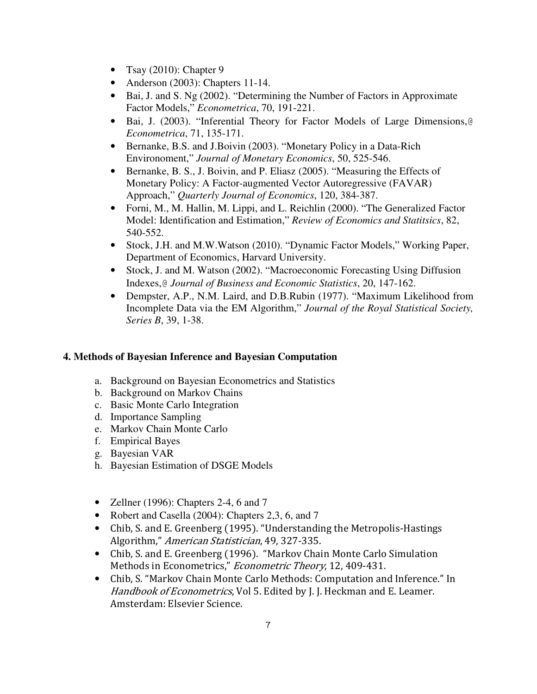- Tsay  $(2010)$ : Chapter 9
- Anderson (2003): Chapters 11-14.
- Bai, J. and S. Ng (2002). "Determining the Number of Factors in Approximate Factor Models," *Econometrica*, 70, 191-221.
- Bai, J. (2003). "Inferential Theory for Factor Models of Large Dimensions,@ *Econometrica*, 71, 135-171.
- Bernanke, B.S. and J.Boivin (2003). "Monetary Policy in a Data-Rich Environoment," *Journal of Monetary Economics*, 50, 525-546.
- Bernanke, B. S., J. Boivin, and P. Eliasz (2005). "Measuring the Effects of Monetary Policy: A Factor-augmented Vector Autoregressive (FAVAR) Approach," *Quarterly Journal of Economics*, 120, 384-387.
- Forni, M., M. Hallin, M. Lippi, and L. Reichlin (2000). "The Generalized Factor Model: Identification and Estimation," *Review of Economics and Statitsics*, 82, 540-552.
- Stock, J.H. and M.W.Watson (2010). "Dynamic Factor Models," Working Paper, Department of Economics, Harvard University.
- Stock, J. and M. Watson (2002). "Macroeconomic Forecasting Using Diffusion Indexes,@ *Journal of Business and Economic Statistics*, 20, 147-162.
- Dempster, A.P., N.M. Laird, and D.B.Rubin (1977). "Maximum Likelihood from Incomplete Data via the EM Algorithm," *Journal of the Royal Statistical Society, Series B*, 39, 1-38.

## **4. Methods of Bayesian Inference and Bayesian Computation**

- a. Background on Bayesian Econometrics and Statistics
- b. Background on Markov Chains
- c. Basic Monte Carlo Integration
- d. Importance Sampling
- e. Markov Chain Monte Carlo
- f. Empirical Bayes
- g. Bayesian VAR
- h. Bayesian Estimation of DSGE Models
- Zellner (1996): Chapters 2-4, 6 and 7
- Robert and Casella (2004): Chapters 2,3, 6, and 7
- Chib, S. and E. Greenberg (1995). "Understanding the Metropolis-Hastings Algorithm," American Statistician, 49, 327-335.
- Chib, S. and E. Greenberg (1996). "Markov Chain Monte Carlo Simulation Methods in Econometrics," Econometric Theory, 12, 409-431.
- Chib, S. "Markov Chain Monte Carlo Methods: Computation and Inference." In Handbook of Econometrics, Vol 5. Edited by J. J. Heckman and E. Leamer. Amsterdam: Elsevier Science.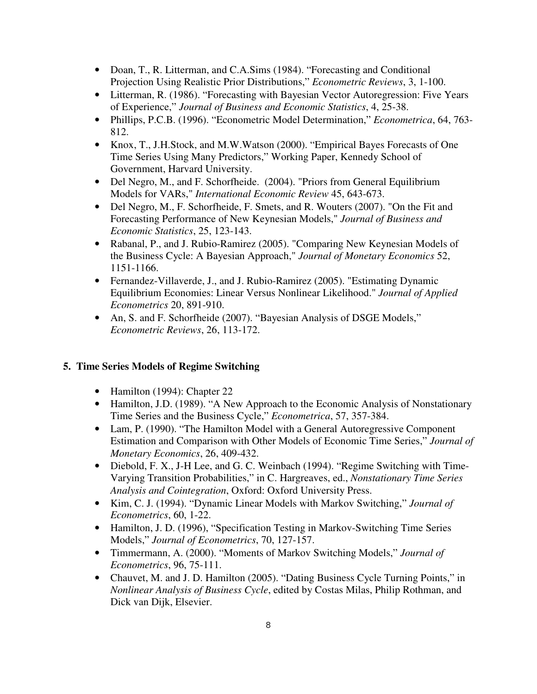- Doan, T., R. Litterman, and C.A.Sims (1984). "Forecasting and Conditional Projection Using Realistic Prior Distributions," *Econometric Reviews*, 3, 1-100.
- Litterman, R. (1986). "Forecasting with Bayesian Vector Autoregression: Five Years of Experience," *Journal of Business and Economic Statistics*, 4, 25-38.
- Phillips, P.C.B. (1996). "Econometric Model Determination," *Econometrica*, 64, 763- 812.
- Knox, T., J.H.Stock, and M.W.Watson (2000). "Empirical Bayes Forecasts of One Time Series Using Many Predictors," Working Paper, Kennedy School of Government, Harvard University.
- Del Negro, M., and F. Schorfheide. (2004). "Priors from General Equilibrium Models for VARs," *International Economic Review* 45, 643-673.
- Del Negro, M., F. Schorfheide, F. Smets, and R. Wouters (2007). "On the Fit and Forecasting Performance of New Keynesian Models," *Journal of Business and Economic Statistics*, 25, 123-143.
- Rabanal, P., and J. Rubio-Ramirez (2005). "Comparing New Keynesian Models of the Business Cycle: A Bayesian Approach," *Journal of Monetary Economics* 52, 1151-1166.
- Fernandez-Villaverde, J., and J. Rubio-Ramirez (2005). "Estimating Dynamic Equilibrium Economies: Linear Versus Nonlinear Likelihood." *Journal of Applied Econometrics* 20, 891-910.
- An, S. and F. Schorfheide (2007). "Bayesian Analysis of DSGE Models," *Econometric Reviews*, 26, 113-172.

# **5. Time Series Models of Regime Switching**

- Hamilton (1994): Chapter 22
- Hamilton, J.D. (1989). "A New Approach to the Economic Analysis of Nonstationary Time Series and the Business Cycle," *Econometrica*, 57, 357-384.
- Lam, P. (1990). "The Hamilton Model with a General Autoregressive Component Estimation and Comparison with Other Models of Economic Time Series," *Journal of Monetary Economics*, 26, 409-432.
- Diebold, F. X., J-H Lee, and G. C. Weinbach (1994). "Regime Switching with Time-Varying Transition Probabilities," in C. Hargreaves, ed., *Nonstationary Time Series Analysis and Cointegration*, Oxford: Oxford University Press.
- Kim, C. J. (1994). "Dynamic Linear Models with Markov Switching," *Journal of Econometrics*, 60, 1-22.
- Hamilton, J. D. (1996), "Specification Testing in Markov-Switching Time Series Models," *Journal of Econometrics*, 70, 127-157.
- Timmermann, A. (2000). "Moments of Markov Switching Models," *Journal of Econometrics*, 96, 75-111.
- Chauvet, M. and J. D. Hamilton (2005). "Dating Business Cycle Turning Points," in *Nonlinear Analysis of Business Cycle*, edited by Costas Milas, Philip Rothman, and Dick van Dijk, Elsevier.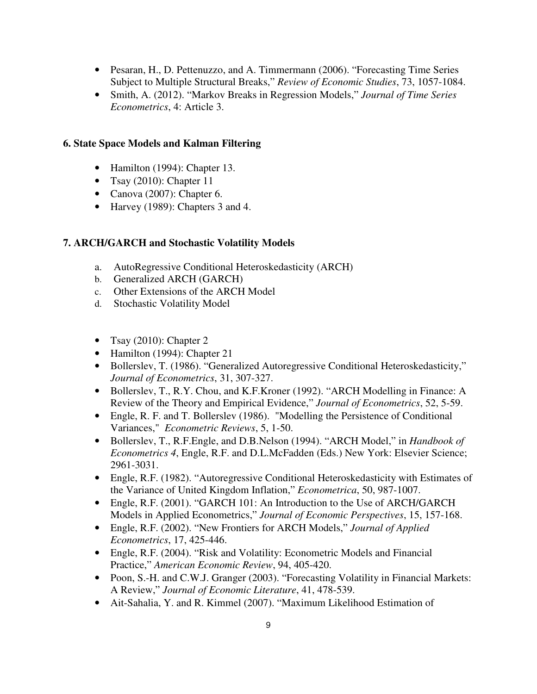- Pesaran, H., D. Pettenuzzo, and A. Timmermann (2006). "Forecasting Time Series Subject to Multiple Structural Breaks," *Review of Economic Studies*, 73, 1057-1084.
- Smith, A. (2012). "Markov Breaks in Regression Models," *Journal of Time Series Econometrics*, 4: Article 3.

### **6. State Space Models and Kalman Filtering**

- Hamilton (1994): Chapter 13.
- Tsay  $(2010)$ : Chapter 11
- Canova (2007): Chapter 6.
- Harvey (1989): Chapters 3 and 4.

### **7. ARCH/GARCH and Stochastic Volatility Models**

- a. AutoRegressive Conditional Heteroskedasticity (ARCH)
- b. Generalized ARCH (GARCH)
- c. Other Extensions of the ARCH Model
- d. Stochastic Volatility Model
- Tsay (2010): Chapter 2
- Hamilton (1994): Chapter 21
- Bollerslev, T. (1986). "Generalized Autoregressive Conditional Heteroskedasticity," *Journal of Econometrics*, 31, 307-327.
- Bollerslev, T., R.Y. Chou, and K.F.Kroner (1992). "ARCH Modelling in Finance: A Review of the Theory and Empirical Evidence," *Journal of Econometrics*, 52, 5-59.
- Engle, R. F. and T. Bollerslev (1986). "Modelling the Persistence of Conditional Variances," *Econometric Reviews*, 5, 1-50.
- Bollerslev, T., R.F.Engle, and D.B.Nelson (1994). "ARCH Model," in *Handbook of Econometrics 4*, Engle, R.F. and D.L.McFadden (Eds.) New York: Elsevier Science; 2961-3031.
- Engle, R.F. (1982). "Autoregressive Conditional Heteroskedasticity with Estimates of the Variance of United Kingdom Inflation," *Econometrica*, 50, 987-1007.
- Engle, R.F. (2001). "GARCH 101: An Introduction to the Use of ARCH/GARCH Models in Applied Econometrics," *Journal of Economic Perspectives*, 15, 157-168.
- Engle, R.F. (2002). "New Frontiers for ARCH Models," *Journal of Applied Econometrics*, 17, 425-446.
- Engle, R.F. (2004). "Risk and Volatility: Econometric Models and Financial Practice," *American Economic Review*, 94, 405-420.
- Poon, S.-H. and C.W.J. Granger (2003). "Forecasting Volatility in Financial Markets: A Review," *Journal of Economic Literature*, 41, 478-539.
- Ait-Sahalia, Y. and R. Kimmel (2007). "Maximum Likelihood Estimation of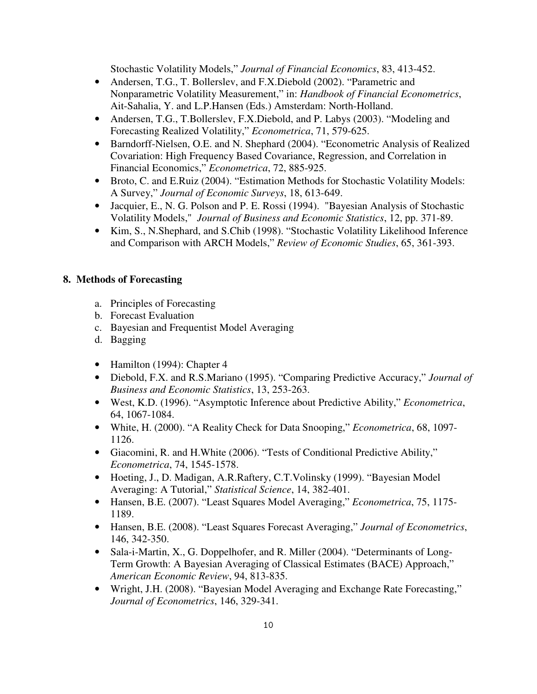Stochastic Volatility Models," *Journal of Financial Economics*, 83, 413-452.

- Andersen, T.G., T. Bollerslev, and F.X.Diebold (2002). "Parametric and Nonparametric Volatility Measurement," in: *Handbook of Financial Econometrics*, Ait-Sahalia, Y. and L.P.Hansen (Eds.) Amsterdam: North-Holland.
- Andersen, T.G., T.Bollerslev, F.X.Diebold, and P. Labys (2003). "Modeling and Forecasting Realized Volatility," *Econometrica*, 71, 579-625.
- Barndorff-Nielsen, O.E. and N. Shephard (2004). "Econometric Analysis of Realized Covariation: High Frequency Based Covariance, Regression, and Correlation in Financial Economics," *Econometrica*, 72, 885-925.
- Broto, C. and E.Ruiz (2004). "Estimation Methods for Stochastic Volatility Models: A Survey," *Journal of Economic Surveys*, 18, 613-649.
- Jacquier, E., N. G. Polson and P. E. Rossi (1994). "Bayesian Analysis of Stochastic Volatility Models," *Journal of Business and Economic Statistics*, 12, pp. 371-89.
- Kim, S., N.Shephard, and S.Chib (1998). "Stochastic Volatility Likelihood Inference and Comparison with ARCH Models," *Review of Economic Studies*, 65, 361-393.

### **8. Methods of Forecasting**

- a. Principles of Forecasting
- b. Forecast Evaluation
- c. Bayesian and Frequentist Model Averaging
- d. Bagging
- Hamilton (1994): Chapter 4
- Diebold, F.X. and R.S.Mariano (1995). "Comparing Predictive Accuracy," *Journal of Business and Economic Statistics*, 13, 253-263.
- West, K.D. (1996). "Asymptotic Inference about Predictive Ability," *Econometrica*, 64, 1067-1084.
- White, H. (2000). "A Reality Check for Data Snooping," *Econometrica*, 68, 1097- 1126.
- Giacomini, R. and H.White (2006). "Tests of Conditional Predictive Ability," *Econometrica*, 74, 1545-1578.
- Hoeting, J., D. Madigan, A.R.Raftery, C.T.Volinsky (1999). "Bayesian Model Averaging: A Tutorial," *Statistical Science*, 14, 382-401.
- Hansen, B.E. (2007). "Least Squares Model Averaging," *Econometrica*, 75, 1175- 1189.
- Hansen, B.E. (2008). "Least Squares Forecast Averaging," *Journal of Econometrics*, 146, 342-350.
- Sala-i-Martin, X., G. Doppelhofer, and R. Miller (2004). "Determinants of Long-Term Growth: A Bayesian Averaging of Classical Estimates (BACE) Approach," *American Economic Review*, 94, 813-835.
- Wright, J.H. (2008). "Bayesian Model Averaging and Exchange Rate Forecasting," *Journal of Econometrics*, 146, 329-341.